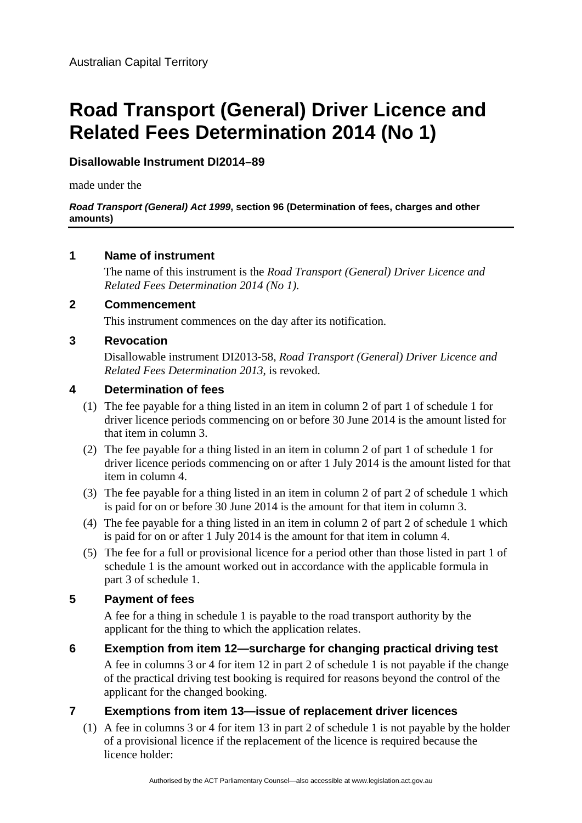# **Road Transport (General) Driver Licence and Related Fees Determination 2014 (No 1)**

# **Disallowable Instrument DI2014–89**

made under the

#### *Road Transport (General) Act 1999***, section 96 (Determination of fees, charges and other amounts)**

## **1 Name of instrument**

The name of this instrument is the *Road Transport (General) Driver Licence and Related Fees Determination 2014 (No 1)*.

## **2 Commencement**

This instrument commences on the day after its notification.

## **3 Revocation**

Disallowable instrument DI2013-58, *Road Transport (General) Driver Licence and Related Fees Determination 2013*, is revoked.

## **4 Determination of fees**

- (1) The fee payable for a thing listed in an item in column 2 of part 1 of schedule 1 for driver licence periods commencing on or before 30 June 2014 is the amount listed for that item in column 3.
- (2) The fee payable for a thing listed in an item in column 2 of part 1 of schedule 1 for driver licence periods commencing on or after 1 July 2014 is the amount listed for that item in column 4.
- (3) The fee payable for a thing listed in an item in column 2 of part 2 of schedule 1 which is paid for on or before 30 June 2014 is the amount for that item in column 3.
- (4) The fee payable for a thing listed in an item in column 2 of part 2 of schedule 1 which is paid for on or after 1 July 2014 is the amount for that item in column 4.
- (5) The fee for a full or provisional licence for a period other than those listed in part 1 of schedule 1 is the amount worked out in accordance with the applicable formula in part 3 of schedule 1.

# **5 Payment of fees**

A fee for a thing in schedule 1 is payable to the road transport authority by the applicant for the thing to which the application relates.

**6 Exemption from item 12—surcharge for changing practical driving test**  A fee in columns 3 or 4 for item 12 in part 2 of schedule 1 is not payable if the change of the practical driving test booking is required for reasons beyond the control of the applicant for the changed booking.

# **7 Exemptions from item 13—issue of replacement driver licences**

(1) A fee in columns 3 or 4 for item 13 in part 2 of schedule 1 is not payable by the holder of a provisional licence if the replacement of the licence is required because the licence holder: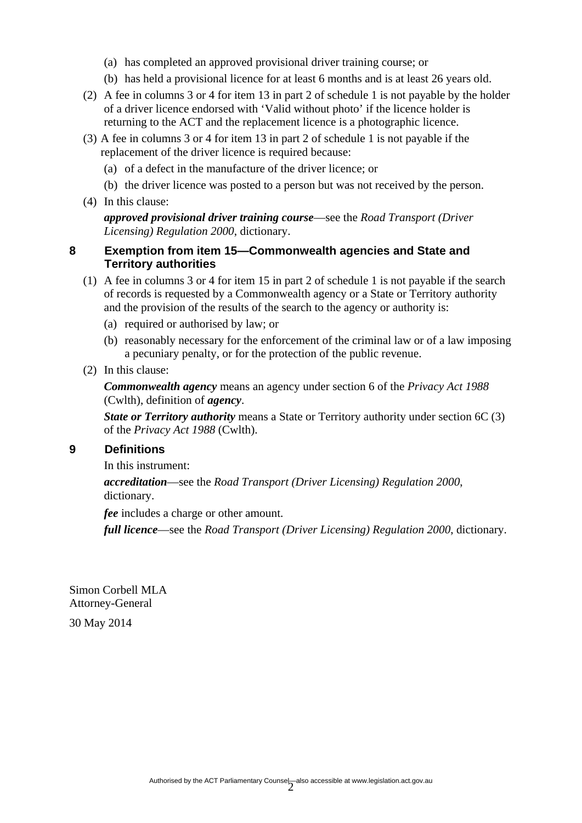- (a) has completed an approved provisional driver training course; or
- (b) has held a provisional licence for at least 6 months and is at least 26 years old.
- (2) A fee in columns 3 or 4 for item 13 in part 2 of schedule 1 is not payable by the holder of a driver licence endorsed with 'Valid without photo' if the licence holder is returning to the ACT and the replacement licence is a photographic licence.
- (3) A fee in columns 3 or 4 for item 13 in part 2 of schedule 1 is not payable if the replacement of the driver licence is required because:
	- (a) of a defect in the manufacture of the driver licence; or
	- (b) the driver licence was posted to a person but was not received by the person.
- (4) In this clause:

*approved provisional driver training course*—see the *Road Transport (Driver Licensing) Regulation 2000*, dictionary.

### **8 Exemption from item 15—Commonwealth agencies and State and Territory authorities**

- (1) A fee in columns 3 or 4 for item 15 in part 2 of schedule 1 is not payable if the search of records is requested by a Commonwealth agency or a State or Territory authority and the provision of the results of the search to the agency or authority is:
	- (a) required or authorised by law; or
	- (b) reasonably necessary for the enforcement of the criminal law or of a law imposing a pecuniary penalty, or for the protection of the public revenue.
- (2) In this clause:

*Commonwealth agency* means an agency under section 6 of the *Privacy Act 1988* (Cwlth), definition of *agency*.

*State or Territory authority* means a State or Territory authority under section 6C (3) of the *Privacy Act 1988* (Cwlth).

#### **9 Definitions**

In this instrument:

*accreditation*—see the *Road Transport (Driver Licensing) Regulation 2000*, dictionary.

*fee* includes a charge or other amount.

*full licence*—see the *Road Transport (Driver Licensing) Regulation 2000*, dictionary.

Simon Corbell MLA Attorney-General

30 May 2014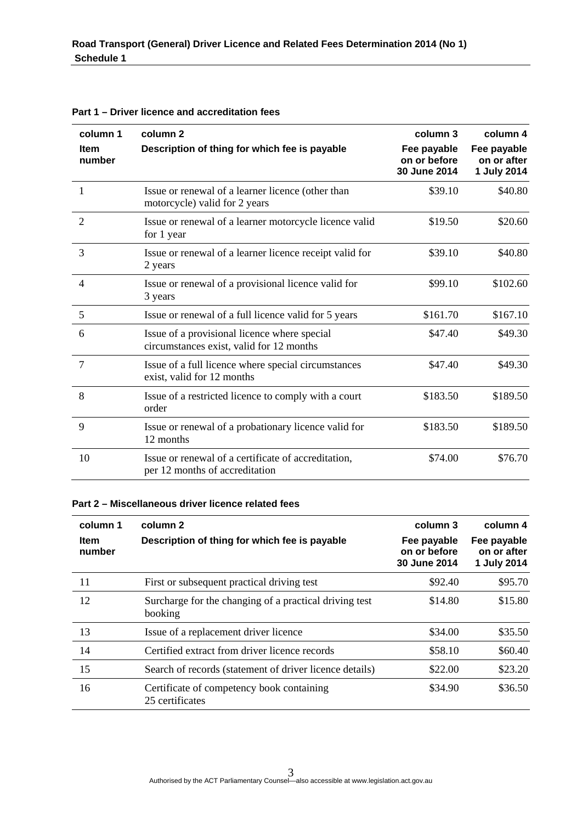| column 1<br><b>Item</b><br>number | column <sub>2</sub><br>Description of thing for which fee is payable                     | column 3<br>Fee payable<br>on or before<br>30 June 2014 | column 4<br>Fee payable<br>on or after<br>1 July 2014 |
|-----------------------------------|------------------------------------------------------------------------------------------|---------------------------------------------------------|-------------------------------------------------------|
| 1                                 | Issue or renewal of a learner licence (other than<br>motorcycle) valid for 2 years       | \$39.10                                                 | \$40.80                                               |
| 2                                 | Issue or renewal of a learner motorcycle licence valid<br>for 1 year                     | \$19.50                                                 | \$20.60                                               |
| 3                                 | Issue or renewal of a learner licence receipt valid for<br>2 years                       | \$39.10                                                 | \$40.80                                               |
| $\overline{4}$                    | Issue or renewal of a provisional licence valid for<br>3 years                           | \$99.10                                                 | \$102.60                                              |
| 5                                 | Issue or renewal of a full licence valid for 5 years                                     | \$161.70                                                | \$167.10                                              |
| 6                                 | Issue of a provisional licence where special<br>circumstances exist, valid for 12 months | \$47.40                                                 | \$49.30                                               |
| $\overline{7}$                    | Issue of a full licence where special circumstances<br>exist, valid for 12 months        | \$47.40                                                 | \$49.30                                               |
| 8                                 | Issue of a restricted licence to comply with a court<br>order                            | \$183.50                                                | \$189.50                                              |
| 9                                 | Issue or renewal of a probationary licence valid for<br>12 months                        | \$183.50                                                | \$189.50                                              |
| 10                                | Issue or renewal of a certificate of accreditation,<br>per 12 months of accreditation    | \$74.00                                                 | \$76.70                                               |

#### **Part 1 – Driver licence and accreditation fees**

#### **Part 2 – Miscellaneous driver licence related fees**

| column 1<br><b>Item</b><br>number | column 2<br>Description of thing for which fee is payable         | column 3<br>Fee payable<br>on or before<br>30 June 2014 | column 4<br>Fee payable<br>on or after<br>1 July 2014 |
|-----------------------------------|-------------------------------------------------------------------|---------------------------------------------------------|-------------------------------------------------------|
| 11                                | First or subsequent practical driving test                        | \$92.40                                                 | \$95.70                                               |
| 12                                | Surcharge for the changing of a practical driving test<br>booking | \$14.80                                                 | \$15.80                                               |
| 13                                | Issue of a replacement driver licence                             | \$34.00                                                 | \$35.50                                               |
| 14                                | Certified extract from driver licence records                     | \$58.10                                                 | \$60.40                                               |
| 15                                | Search of records (statement of driver licence details)           | \$22.00                                                 | \$23.20                                               |
| 16                                | Certificate of competency book containing<br>25 certificates      | \$34.90                                                 | \$36.50                                               |